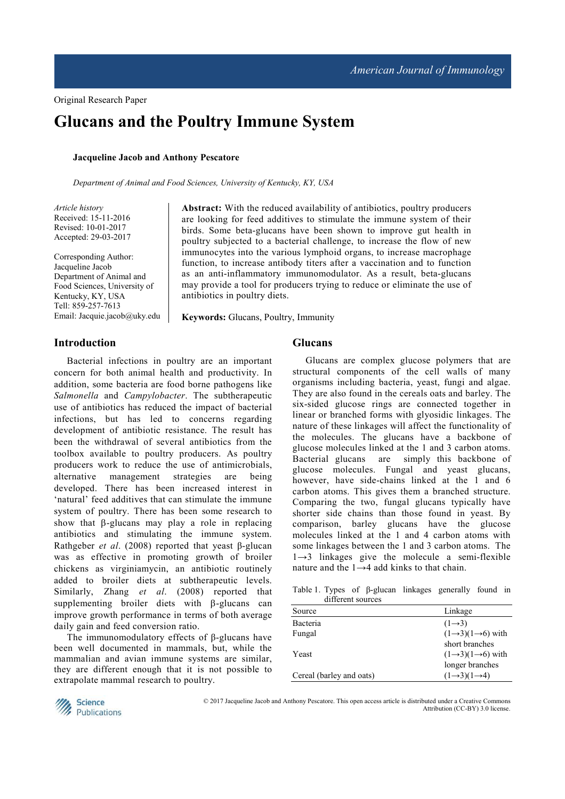# **Glucans and the Poultry Immune System**

#### **Jacqueline Jacob and Anthony Pescatore**

*Department of Animal and Food Sciences, University of Kentucky, KY, USA* 

*Article history*  Received: 15-11-2016 Revised: 10-01-2017 Accepted: 29-03-2017

Corresponding Author: Jacqueline Jacob Department of Animal and Food Sciences, University of Kentucky, KY, USA Tell: 859-257-7613 Email: Jacquie.jacob@uky.edu **Abstract:** With the reduced availability of antibiotics, poultry producers are looking for feed additives to stimulate the immune system of their birds. Some beta-glucans have been shown to improve gut health in poultry subjected to a bacterial challenge, to increase the flow of new immunocytes into the various lymphoid organs, to increase macrophage function, to increase antibody titers after a vaccination and to function as an anti-inflammatory immunomodulator. As a result, beta-glucans may provide a tool for producers trying to reduce or eliminate the use of antibiotics in poultry diets.

**Keywords:** Glucans, Poultry, Immunity

## **Introduction**

Bacterial infections in poultry are an important concern for both animal health and productivity. In addition, some bacteria are food borne pathogens like *Salmonella* and *Campylobacter*. The subtherapeutic use of antibiotics has reduced the impact of bacterial infections, but has led to concerns regarding development of antibiotic resistance. The result has been the withdrawal of several antibiotics from the toolbox available to poultry producers. As poultry producers work to reduce the use of antimicrobials, alternative management strategies are being developed. There has been increased interest in 'natural' feed additives that can stimulate the immune system of poultry. There has been some research to show that β-glucans may play a role in replacing antibiotics and stimulating the immune system. Rathgeber *et al*. (2008) reported that yeast β-glucan was as effective in promoting growth of broiler chickens as virginiamycin, an antibiotic routinely added to broiler diets at subtherapeutic levels. Similarly, Zhang *et al*. (2008) reported that supplementing broiler diets with β-glucans can improve growth performance in terms of both average daily gain and feed conversion ratio.

The immunomodulatory effects of β-glucans have been well documented in mammals, but, while the mammalian and avian immune systems are similar, they are different enough that it is not possible to extrapolate mammal research to poultry.

### **Glucans**

Glucans are complex glucose polymers that are structural components of the cell walls of many organisms including bacteria, yeast, fungi and algae. They are also found in the cereals oats and barley. The six-sided glucose rings are connected together in linear or branched forms with glyosidic linkages. The nature of these linkages will affect the functionality of the molecules. The glucans have a backbone of glucose molecules linked at the 1 and 3 carbon atoms. Bacterial glucans are simply this backbone of glucose molecules. Fungal and yeast glucans, however, have side-chains linked at the 1 and 6 carbon atoms. This gives them a branched structure. Comparing the two, fungal glucans typically have shorter side chains than those found in yeast. By comparison, barley glucans have the glucose molecules linked at the 1 and 4 carbon atoms with some linkages between the 1 and 3 carbon atoms. The  $1\rightarrow 3$  linkages give the molecule a semi-flexible nature and the  $1\rightarrow 4$  add kinks to that chain.

Table 1. Types of β-glucan linkages generally found in different sources

| Source                   | Linkage                                 |
|--------------------------|-----------------------------------------|
| Bacteria                 | $(1\rightarrow 3)$                      |
| Fungal                   | $(1\rightarrow 3)(1\rightarrow 6)$ with |
|                          | short branches                          |
| Yeast                    | $(1\rightarrow 3)(1\rightarrow 6)$ with |
|                          | longer branches                         |
| Cereal (barley and oats) | $(1\rightarrow 3)(1\rightarrow 4)$      |



© 2017 Jacqueline Jacob and Anthony Pescatore. This open access article is distributed under a Creative Commons Attribution (CC-BY) 3.0 license.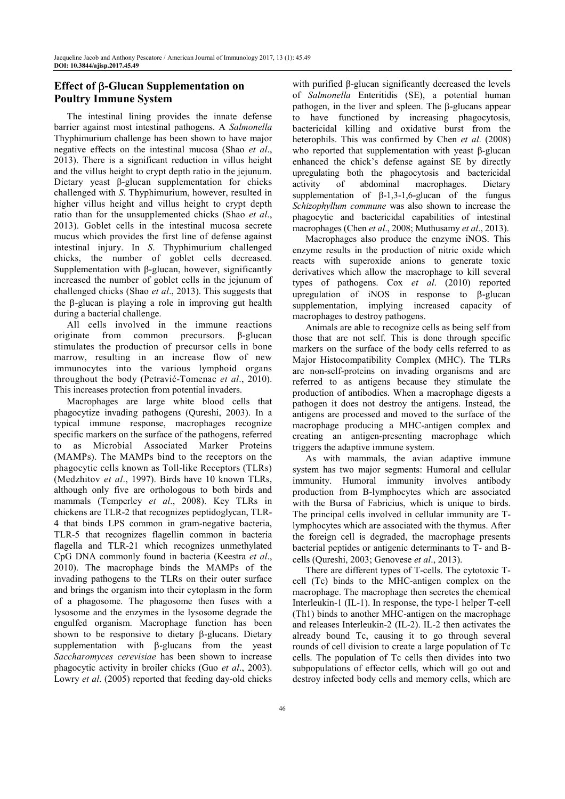# **Effect of** β**-Glucan Supplementation on Poultry Immune System**

The intestinal lining provides the innate defense barrier against most intestinal pathogens. A *Salmonella*  Thyphimurium challenge has been shown to have major negative effects on the intestinal mucosa (Shao *et al*., 2013). There is a significant reduction in villus height and the villus height to crypt depth ratio in the jejunum. Dietary yeast β-glucan supplementation for chicks challenged with *S*. Thyphimurium, however, resulted in higher villus height and villus height to crypt depth ratio than for the unsupplemented chicks (Shao *et al*., 2013). Goblet cells in the intestinal mucosa secrete mucus which provides the first line of defense against intestinal injury. In *S*. Thyphimurium challenged chicks, the number of goblet cells decreased. Supplementation with β-glucan, however, significantly increased the number of goblet cells in the jejunum of challenged chicks (Shao *et al*., 2013). This suggests that the β-glucan is playing a role in improving gut health during a bacterial challenge.

All cells involved in the immune reactions originate from common precursors. β-glucan stimulates the production of precursor cells in bone marrow, resulting in an increase flow of new immunocytes into the various lymphoid organs throughout the body (Petravić-Tomenac *et al*., 2010). This increases protection from potential invaders.

Macrophages are large white blood cells that phagocytize invading pathogens (Qureshi, 2003). In a typical immune response, macrophages recognize specific markers on the surface of the pathogens, referred to as Microbial Associated Marker Proteins (MAMPs). The MAMPs bind to the receptors on the phagocytic cells known as Toll-like Receptors (TLRs) (Medzhitov *et al*., 1997). Birds have 10 known TLRs, although only five are orthologous to both birds and mammals (Temperley *et al*., 2008). Key TLRs in chickens are TLR-2 that recognizes peptidoglycan, TLR-4 that binds LPS common in gram-negative bacteria, TLR-5 that recognizes flagellin common in bacteria flagella and TLR-21 which recognizes unmethylated CpG DNA commonly found in bacteria (Keestra *et al*., 2010). The macrophage binds the MAMPs of the invading pathogens to the TLRs on their outer surface and brings the organism into their cytoplasm in the form of a phagosome. The phagosome then fuses with a lysosome and the enzymes in the lysosome degrade the engulfed organism. Macrophage function has been shown to be responsive to dietary β-glucans. Dietary supplementation with β-glucans from the yeast *Saccharomyces cerevisiae* has been shown to increase phagocytic activity in broiler chicks (Guo *et al*., 2003). Lowry *et al*. (2005) reported that feeding day-old chicks

with purified β-glucan significantly decreased the levels of *Salmonella* Enteritidis (SE), a potential human pathogen, in the liver and spleen. The β-glucans appear to have functioned by increasing phagocytosis, bactericidal killing and oxidative burst from the heterophils. This was confirmed by Chen *et al*. (2008) who reported that supplementation with yeast β-glucan enhanced the chick's defense against SE by directly upregulating both the phagocytosis and bactericidal activity of abdominal macrophages. Dietary supplementation of β-1,3-1,6-glucan of the fungus *Schizophyllum commune* was also shown to increase the phagocytic and bactericidal capabilities of intestinal macrophages (Chen *et al*., 2008; Muthusamy *et al*., 2013).

Macrophages also produce the enzyme iNOS. This enzyme results in the production of nitric oxide which reacts with superoxide anions to generate toxic derivatives which allow the macrophage to kill several types of pathogens. Cox *et al*. (2010) reported upregulation of iNOS in response to β-glucan supplementation, implying increased capacity of macrophages to destroy pathogens.

Animals are able to recognize cells as being self from those that are not self. This is done through specific markers on the surface of the body cells referred to as Major Histocompatibility Complex (MHC). The TLRs are non-self-proteins on invading organisms and are referred to as antigens because they stimulate the production of antibodies. When a macrophage digests a pathogen it does not destroy the antigens. Instead, the antigens are processed and moved to the surface of the macrophage producing a MHC-antigen complex and creating an antigen-presenting macrophage which triggers the adaptive immune system.

As with mammals, the avian adaptive immune system has two major segments: Humoral and cellular immunity. Humoral immunity involves antibody production from B-lymphocytes which are associated with the Bursa of Fabricius, which is unique to birds. The principal cells involved in cellular immunity are Tlymphocytes which are associated with the thymus. After the foreign cell is degraded, the macrophage presents bacterial peptides or antigenic determinants to T- and Bcells (Qureshi, 2003; Genovese *et al*., 2013).

There are different types of T-cells. The cytotoxic Tcell (Tc) binds to the MHC-antigen complex on the macrophage. The macrophage then secretes the chemical Interleukin-1 (IL-1). In response, the type-1 helper T-cell (Th1) binds to another MHC-antigen on the macrophage and releases Interleukin-2 (IL-2). IL-2 then activates the already bound Tc, causing it to go through several rounds of cell division to create a large population of Tc cells. The population of Tc cells then divides into two subpopulations of effector cells, which will go out and destroy infected body cells and memory cells, which are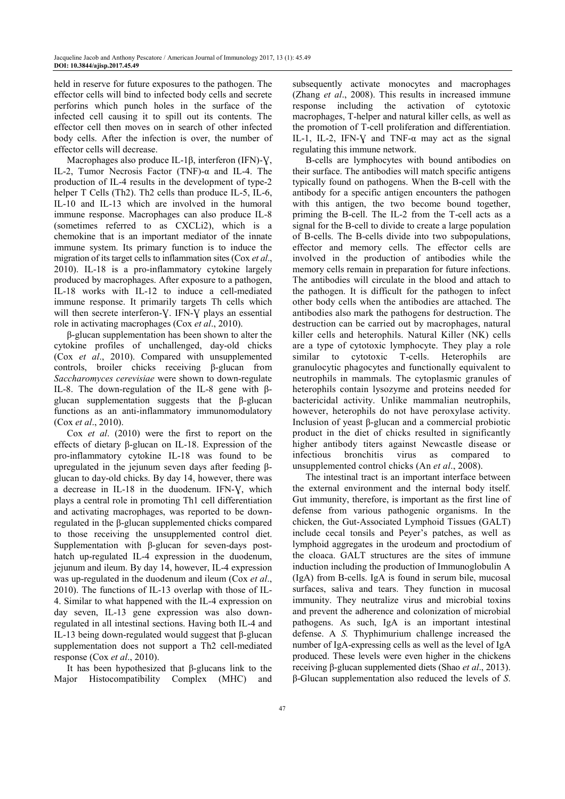held in reserve for future exposures to the pathogen. The effector cells will bind to infected body cells and secrete perforins which punch holes in the surface of the infected cell causing it to spill out its contents. The effector cell then moves on in search of other infected body cells. After the infection is over, the number of effector cells will decrease.

Macrophages also produce IL-1 $\beta$ , interferon (IFN)- $\gamma$ , IL-2, Tumor Necrosis Factor (TNF)-α and IL-4. The production of IL-4 results in the development of type-2 helper T Cells (Th2). Th2 cells than produce IL-5, IL-6, IL-10 and IL-13 which are involved in the humoral immune response. Macrophages can also produce IL-8 (sometimes referred to as CXCLi2), which is a chemokine that is an important mediator of the innate immune system. Its primary function is to induce the migration of its target cells to inflammation sites (Cox *et al*., 2010). IL-18 is a pro-inflammatory cytokine largely produced by macrophages. After exposure to a pathogen, IL-18 works with IL-12 to induce a cell-mediated immune response. It primarily targets Th cells which will then secrete interferon-V. IFN-V plays an essential role in activating macrophages (Cox *et al*., 2010).

β-glucan supplementation has been shown to alter the cytokine profiles of unchallenged, day-old chicks (Cox *et al*., 2010). Compared with unsupplemented controls, broiler chicks receiving β-glucan from *Saccharomyces cerevisiae* were shown to down-regulate IL-8. The down-regulation of the IL-8 gene with βglucan supplementation suggests that the β-glucan functions as an anti-inflammatory immunomodulatory (Cox *et al*., 2010).

Cox *et al*. (2010) were the first to report on the effects of dietary β-glucan on IL-18. Expression of the pro-inflammatory cytokine IL-18 was found to be upregulated in the jejunum seven days after feeding βglucan to day-old chicks. By day 14, however, there was a decrease in  $IL-18$  in the duodenum. IFN- $V$ , which plays a central role in promoting Th1 cell differentiation and activating macrophages, was reported to be downregulated in the β-glucan supplemented chicks compared to those receiving the unsupplemented control diet. Supplementation with β-glucan for seven-days posthatch up-regulated IL-4 expression in the duodenum, jejunum and ileum. By day 14, however, IL-4 expression was up-regulated in the duodenum and ileum (Cox *et al*., 2010). The functions of IL-13 overlap with those of IL-4. Similar to what happened with the IL-4 expression on day seven, IL-13 gene expression was also downregulated in all intestinal sections. Having both IL-4 and IL-13 being down-regulated would suggest that β-glucan supplementation does not support a Th2 cell-mediated response (Cox *et al*., 2010).

It has been hypothesized that β-glucans link to the Major Histocompatibility Complex (MHC) and subsequently activate monocytes and macrophages (Zhang *et al*., 2008). This results in increased immune response including the activation of cytotoxic macrophages, T-helper and natural killer cells, as well as the promotion of T-cell proliferation and differentiation. IL-1, IL-2, IFN-V and TNF- $\alpha$  may act as the signal regulating this immune network.

B-cells are lymphocytes with bound antibodies on their surface. The antibodies will match specific antigens typically found on pathogens. When the B-cell with the antibody for a specific antigen encounters the pathogen with this antigen, the two become bound together, priming the B-cell. The IL-2 from the T-cell acts as a signal for the B-cell to divide to create a large population of B-cells. The B-cells divide into two subpopulations, effector and memory cells. The effector cells are involved in the production of antibodies while the memory cells remain in preparation for future infections. The antibodies will circulate in the blood and attach to the pathogen. It is difficult for the pathogen to infect other body cells when the antibodies are attached. The antibodies also mark the pathogens for destruction. The destruction can be carried out by macrophages, natural killer cells and heterophils. Natural Killer (NK) cells are a type of cytotoxic lymphocyte. They play a role similar to cytotoxic T-cells. Heterophils are granulocytic phagocytes and functionally equivalent to neutrophils in mammals. The cytoplasmic granules of heterophils contain lysozyme and proteins needed for bactericidal activity. Unlike mammalian neutrophils, however, heterophils do not have peroxylase activity. Inclusion of yeast β-glucan and a commercial probiotic product in the diet of chicks resulted in significantly higher antibody titers against Newcastle disease or infectious bronchitis virus as compared to unsupplemented control chicks (An *et al*., 2008).

The intestinal tract is an important interface between the external environment and the internal body itself. Gut immunity, therefore, is important as the first line of defense from various pathogenic organisms. In the chicken, the Gut-Associated Lymphoid Tissues (GALT) include cecal tonsils and Peyer's patches, as well as lymphoid aggregates in the urodeum and proctodium of the cloaca. GALT structures are the sites of immune induction including the production of Immunoglobulin A (IgA) from B-cells. IgA is found in serum bile, mucosal surfaces, saliva and tears. They function in mucosal immunity. They neutralize virus and microbial toxins and prevent the adherence and colonization of microbial pathogens. As such, IgA is an important intestinal defense. A *S.* Thyphimurium challenge increased the number of IgA-expressing cells as well as the level of IgA produced. These levels were even higher in the chickens receiving β-glucan supplemented diets (Shao *et al*., 2013). β-Glucan supplementation also reduced the levels of *S*.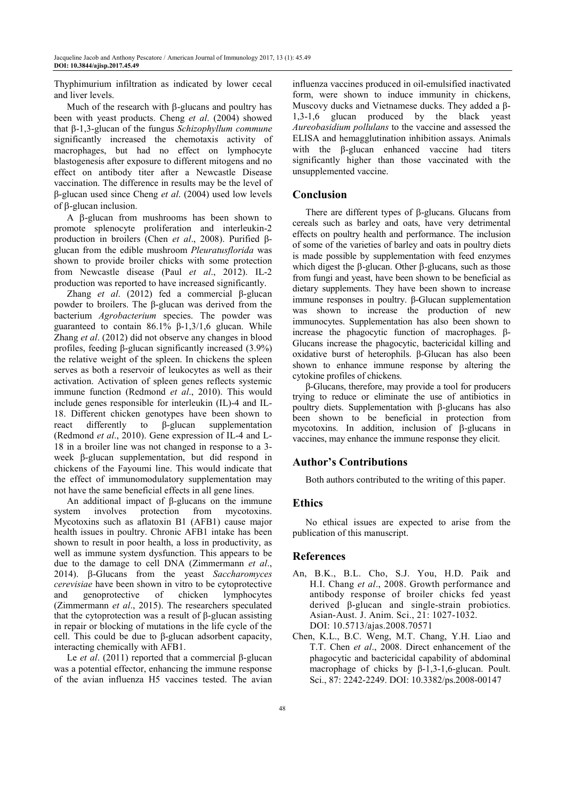Thyphimurium infiltration as indicated by lower cecal and liver levels.

Much of the research with  $β$ -glucans and poultry has been with yeast products. Cheng *et al*. (2004) showed that β-1,3-glucan of the fungus *Schizophyllum commune*  significantly increased the chemotaxis activity of macrophages, but had no effect on lymphocyte blastogenesis after exposure to different mitogens and no effect on antibody titer after a Newcastle Disease vaccination. The difference in results may be the level of β-glucan used since Cheng *et al*. (2004) used low levels of β-glucan inclusion.

A β-glucan from mushrooms has been shown to promote splenocyte proliferation and interleukin-2 production in broilers (Chen *et al*., 2008). Purified βglucan from the edible mushroom *Pleuratusflorida* was shown to provide broiler chicks with some protection from Newcastle disease (Paul *et al*., 2012). IL-2 production was reported to have increased significantly.

Zhang *et al*. (2012) fed a commercial β-glucan powder to broilers. The β-glucan was derived from the bacterium *Agrobacterium* species. The powder was guaranteed to contain 86.1% β-1,3/1,6 glucan. While Zhang *et al*. (2012) did not observe any changes in blood profiles, feeding β-glucan significantly increased (3.9%) the relative weight of the spleen. In chickens the spleen serves as both a reservoir of leukocytes as well as their activation. Activation of spleen genes reflects systemic immune function (Redmond *et al*., 2010). This would include genes responsible for interleukin (IL)-4 and IL-18. Different chicken genotypes have been shown to react differently to β-glucan supplementation (Redmond *et al*., 2010). Gene expression of IL-4 and L-18 in a broiler line was not changed in response to a 3 week β-glucan supplementation, but did respond in chickens of the Fayoumi line. This would indicate that the effect of immunomodulatory supplementation may not have the same beneficial effects in all gene lines.

An additional impact of  $β$ -glucans on the immune system involves protection from mycotoxins. Mycotoxins such as aflatoxin B1 (AFB1) cause major health issues in poultry. Chronic AFB1 intake has been shown to result in poor health, a loss in productivity, as well as immune system dysfunction. This appears to be due to the damage to cell DNA (Zimmermann *et al*., 2014). β-Glucans from the yeast *Saccharomyces cerevisiae* have been shown in vitro to be cytoprotective and genoprotective of chicken lymphocytes (Zimmermann *et al*., 2015). The researchers speculated that the cytoprotection was a result of β-glucan assisting in repair or blocking of mutations in the life cycle of the cell. This could be due to β-glucan adsorbent capacity, interacting chemically with AFB1.

Le *et al*. (2011) reported that a commercial β-glucan was a potential effector, enhancing the immune response of the avian influenza H5 vaccines tested. The avian influenza vaccines produced in oil-emulsified inactivated form, were shown to induce immunity in chickens, Muscovy ducks and Vietnamese ducks. They added a β-1,3-1,6 glucan produced by the black yeast *Aureobasidium pollulans* to the vaccine and assessed the ELISA and hemagglutination inhibition assays. Animals with the β-glucan enhanced vaccine had titers significantly higher than those vaccinated with the unsupplemented vaccine.

## **Conclusion**

There are different types of β-glucans. Glucans from cereals such as barley and oats, have very detrimental effects on poultry health and performance. The inclusion of some of the varieties of barley and oats in poultry diets is made possible by supplementation with feed enzymes which digest the β-glucan. Other β-glucans, such as those from fungi and yeast, have been shown to be beneficial as dietary supplements. They have been shown to increase immune responses in poultry. β-Glucan supplementation was shown to increase the production of new immunocytes. Supplementation has also been shown to increase the phagocytic function of macrophages. β-Glucans increase the phagocytic, bactericidal killing and oxidative burst of heterophils. β-Glucan has also been shown to enhance immune response by altering the cytokine profiles of chickens.

β-Glucans, therefore, may provide a tool for producers trying to reduce or eliminate the use of antibiotics in poultry diets. Supplementation with β-glucans has also been shown to be beneficial in protection from mycotoxins. In addition, inclusion of β-glucans in vaccines, may enhance the immune response they elicit.

# **Author's Contributions**

Both authors contributed to the writing of this paper.

# **Ethics**

No ethical issues are expected to arise from the publication of this manuscript.

# **References**

- An, B.K., B.L. Cho, S.J. You, H.D. Paik and H.I. Chang *et al*., 2008. Growth performance and antibody response of broiler chicks fed yeast derived β-glucan and single-strain probiotics. Asian-Aust. J. Anim. Sci., 21: 1027-1032. DOI: 10.5713/ajas.2008.70571
- Chen, K.L., B.C. Weng, M.T. Chang, Y.H. Liao and T.T. Chen *et al*., 2008. Direct enhancement of the phagocytic and bactericidal capability of abdominal macrophage of chicks by  $\beta$ -1,3-1,6-glucan. Poult. Sci., 87: 2242-2249. DOI: 10.3382/ps.2008-00147